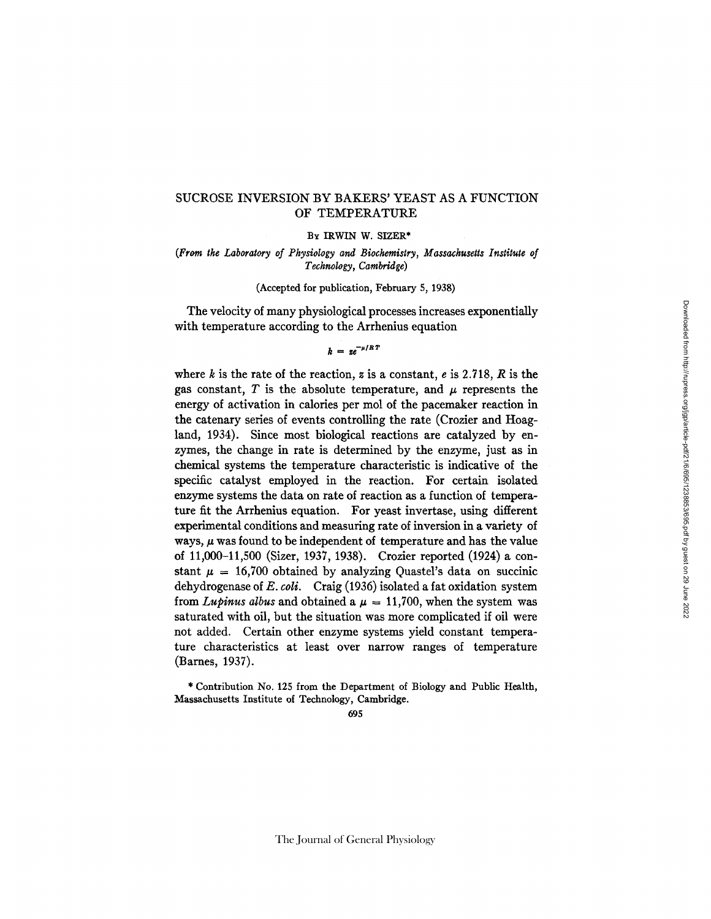# SUCROSE INVERSION BY BAKERS' YEAST AS A FUNCTION OF TEMPERATURE

BY IRWIN W. SIZER\*

*(From the Laboratory of Physiology and Biochemistry, Massachusetts Institute of Technology, Cambridge)* 

(Accepted for publication, February 5, 1938)

The velocity of many physiological processes increases exponentially with temperature according to the Arrhenius equation

 $k = z e^{-\mu /R}$ 

where k is the rate of the reaction, z is a constant,  $e$  is 2.718,  $R$  is the gas constant, T is the absolute temperature, and  $\mu$  represents the energy of activation in calories per mol of the pacemaker reaction in the catenary series of events controlling the rate (Crozier and Hoagland, 1934). Since most biological reactions are catalyzed by enzymes, the change in rate is determined by the enzyme, just as in chemical systems the temperature characteristic is indicative of the specific catalyst employed in the reaction. For certain isolated enzyme systems the data on rate of reaction as a function of temperature fit the Arrhenius equation. For yeast invertase, using different experimental conditions and measuring rate of inversion in a variety of ways,  $\mu$  was found to be independent of temperature and has the value of 11,000-11,500 (Sizer, 1937, 1938). Crozier reported (1924) a constant  $\mu = 16,700$  obtained by analyzing Quastel's data on succinic dehydrogenase of *E. coli.* Craig (1936) isolated a fat oxidation system from *Lupinus albus* and obtained a  $\mu = 11,700$ , when the system was saturated with oil, but the situation was more complicated if oil were not added. Certain other enzyme systems yield constant temperature characteristics at least over narrow ranges of temperature (Barnes, 1937).

\* Contribution No. 125 from the Department of Biology and Public Health, Massachusetts Institute of Technology, Cambridge.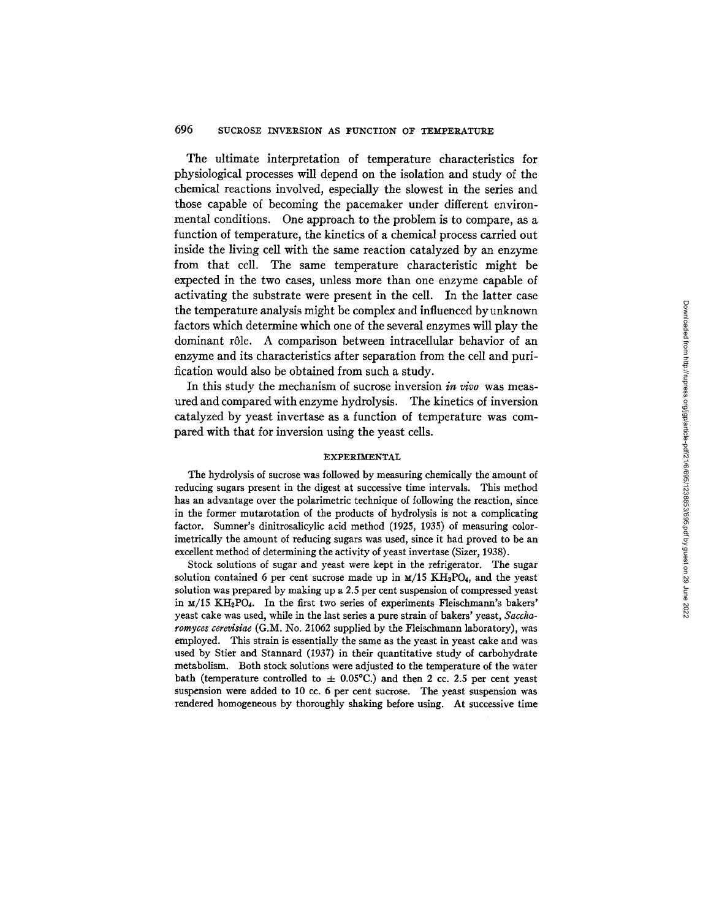# 696 SUCROSE INVERSION AS FUNCTION OF TEMPERATURE

**The ultimate interpretation of temperature characteristics for physiological processes will depend on the isolation and study of the chemical reactions involved, especially the slowest in the series and those capable of becoming the pacemaker under different environmental conditions. One approach to the problem is to compare, as a function of temperature, the kinetics of a chemical process carried out inside the living cell with the same reaction catalyzed by an enzyme from that cell. The same temperature characteristic might be expected in the two cases, unless more than one enzyme capable of activating the substrate were present in the ceil. In the latter case the temperature analysis might be complex and influenced byunknown factors which determine which one of the several enzymes will play the dominant r61e. A comparison between intracellular behavior of an enzyme and its characteristics after separation from the cell and purification would also be obtained from such a study.** 

**In this study the mechanism of sucrose inversion** *in vivo* **was measured and compared with enzyme hydrolysis. The kinetics of inversion catalyzed by yeast invertase as a function of temperature was compared with that for inversion using the yeast ceils.** 

#### EXPERIMENTAL

The hydrolysis of sucrose was followed by measuring chemically the amount of reducing sugars present in the digest at successive time intervals. This method has an advantage over the polarimetric technique of following the reaction, since in the former mutarotation of the products of hydrolysis is not a complicating factor. Sumner's dinitrosalicylic acid method (1925, 1935) of measuring colorimetrically the amount of reducing sugars was used, since it had proved to be an excellent method of determining the activity of yeast invertase (Sizer, 1938).

Stock solutions of sugar and yeast were kept in the refrigerator. The sugar solution contained 6 per cent sucrose made up in  $M/15$  KH<sub>2</sub>PO<sub>4</sub>, and the yeast solution was prepared by making up a 2.5 per cent suspension of compressed yeast in M/15 KH2PO4. In the first two series of experiments Fleischmann's bakers' yeast cake was used, while in the last series a pure strain of bakers' yeast, *Saccharomyces cerevisiae* (G.M. No. 21062 supplied by the Fleischmann laboratory), was employed. This strain is essentially the same as the yeast in yeast cake and was used by Stier and Stannard (1937) in their quantitative study of carbohydrate metabolism. Both stock solutions were adjusted to the temperature of the water bath (temperature controlled to  $\pm$  0.05°C.) and then 2 cc. 2.5 per cent yeast suspension were added to 10 cc. 6 per cent sucrose. The yeast suspension was rendered homogeneous by thoroughly shaking before using. At successive time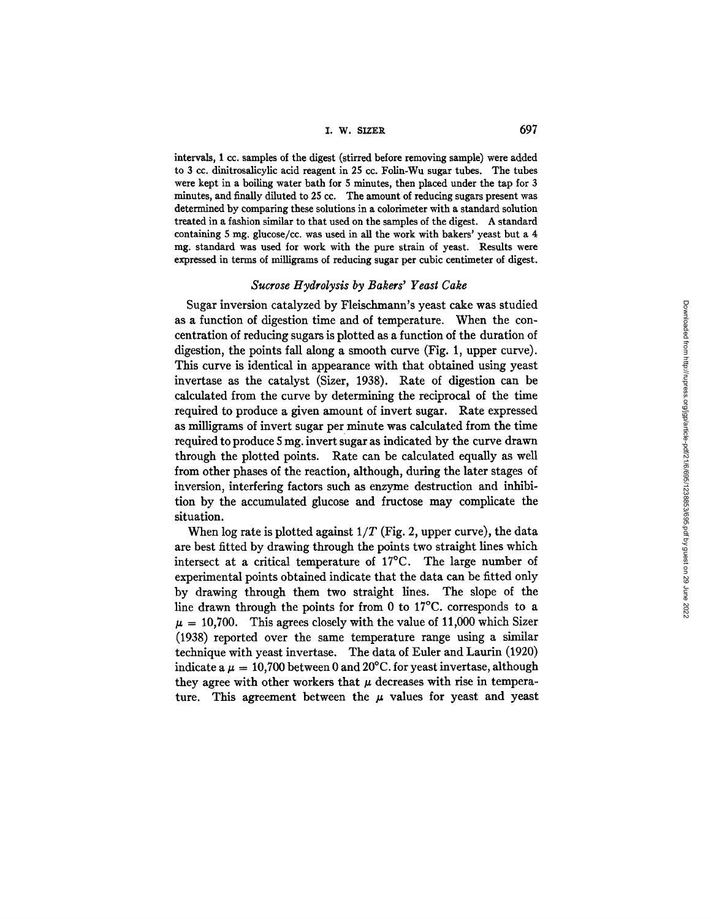# I. W. SIZER 697

intervals, 1 cc. samples of the digest (stirred before removing sample) were added to 3 cc. dinitrosalicylic acid reagent in 25 cc. Folin-Wu sugar tubes. The tubes were kept in a boiling water bath for 5 minutes, then placed under the tap for 3 minutes, and finally diluted to 25 cc. The amount of reducing sugars present was determined by comparing these solutions in a colorimeter with a standard solution treated in a fashion similar to that used on the samples of the digest. A standard containing 5 mg. glucose/cc. was used in all the work with bakers' yeast but a  $4$ mg. standard was used for work with the pure strain of yeast. Results were expressed in terms of milligrams of reducing sugar per cubic centimeter of digest.

#### *Sucrose Hydrolysis by Bakers' Yeast Cake*

Sugar inversion catalyzed by Fleischmann's yeast cake was studied as a function of digestion time and of temperature. When the concentration of reducing sugars is plotted as a function of the duration of digestion, the points fall along a smooth curve (Fig. 1, upper curve). This curve is identical in appearance with that obtained using yeast invertase as the catalyst (Sizer, 1938). Rate of digestion can be calculated from the curve by determining the reciprocal of the time required to produce a given amount of invert sugar. Rate expressed as milligrams of invert sugar per minute was calculated from the time required to produce 5 mg. invert sugar as indicated by the curve drawn through the plotted points. Rate can be calculated equally as well from other phases of the reaction, although, during the later stages of inversion, interfering factors such as enzyme destruction and inhibition by the accumulated glucose and fructose may complicate the situation.

When  $log$  rate is plotted against  $1/T$  (Fig. 2, upper curve), the data are best fitted by drawing through the points two straight lines which intersect at a critical temperature of 17°C. The large number of experimental points obtained indicate that the data can be fitted only by drawing through them two straight lines. The slope of the line drawn through the points for from 0 to 17°C. corresponds to a  $\mu = 10,700$ . This agrees closely with the value of 11,000 which Sizer (1938) reported over the same temperature range using a similar technique with yeast invertase. The data of Euler and Laurin (1920) indicate a  $\mu = 10,700$  between 0 and 20°C. for yeast invertase, although they agree with other workers that  $\mu$  decreases with rise in temperature. This agreement between the  $\mu$  values for yeast and yeast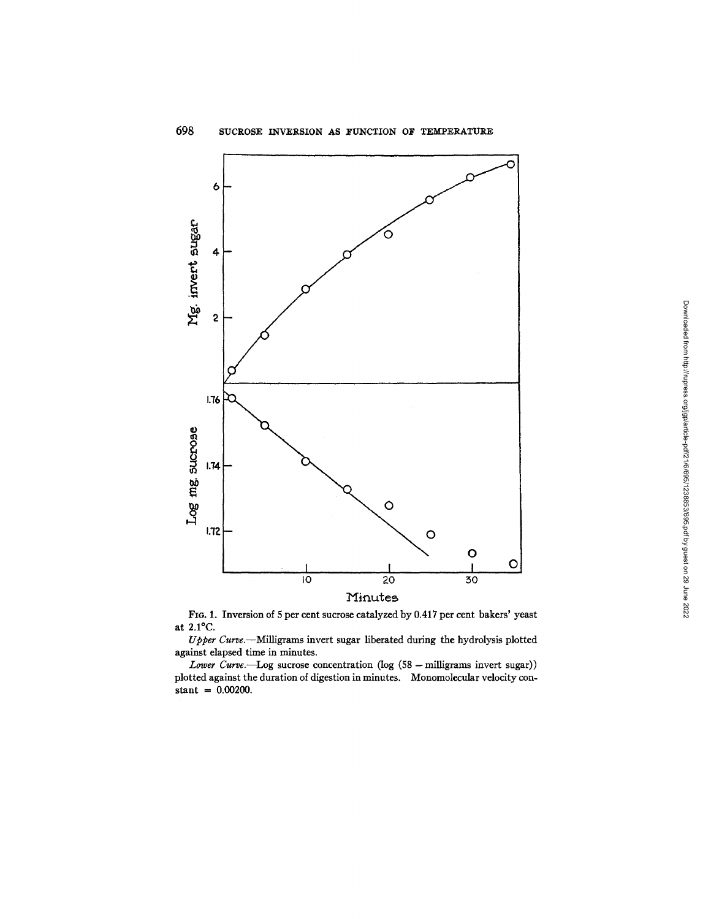

FIG. 1. Inversion of 5 per cent sucrose catalyzed by 0.417 per cent bakers' yeast at 2.1°C.

*Upper Curve.--MiUigrams* invert sugar liberated during the hydrolysis plotted against elapsed time in minutes.

*Lower Curve.--Log* sucrose concentration (log (58- milligrams invert sugar)) plotted against the duration of digestion in minutes. Monomolecular velocity con $stant = 0.00200$ .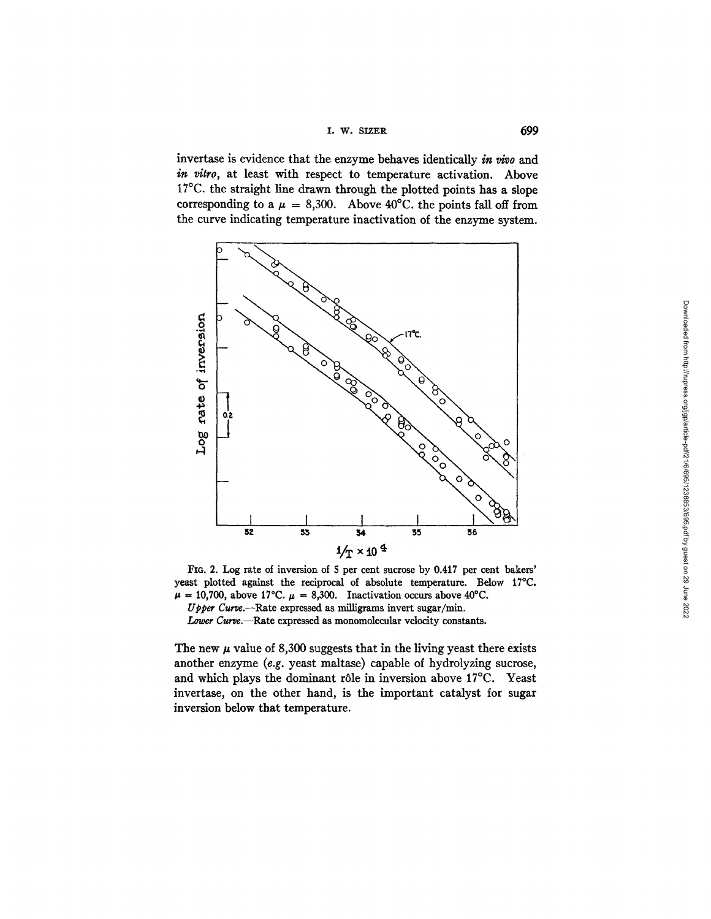**1. w. SlZER 699** 

invertase is evidence that the enzyme behaves identically in vivo and *in vitro,* at least with respect to temperature activation. Above 17°C. the straight line drawn through the plotted points has a slope corresponding to a  $\mu = 8,300$ . Above 40°C. the points fall off from the curve indicating temperature inactivation of the enzyme system.



FIG. 2. Log rate of inversion of 5 per cent sucrose by 0.417 per cent bakers' yeast plotted against the reciprocal of absolute temperature. Below 17°C.  $\mu = 10,700$ , above 17°C.  $\mu = 8,300$ . Inactivation occurs above 40°C.

*Upper Curve.*--Rate expressed as milligrams invert sugar/min. Lower Curve.--Rate expressed as monomolecular velocity constants.

The new  $\mu$  value of 8,300 suggests that in the living yeast there exists another enzyme *(e.g.* yeast maltase) capable of hydrolyzing sucrose, and which plays the dominant rôle in inversion above 17°C. Yeast invertase, on the other hand, is the important catalyst for sugar inversion below that temperature.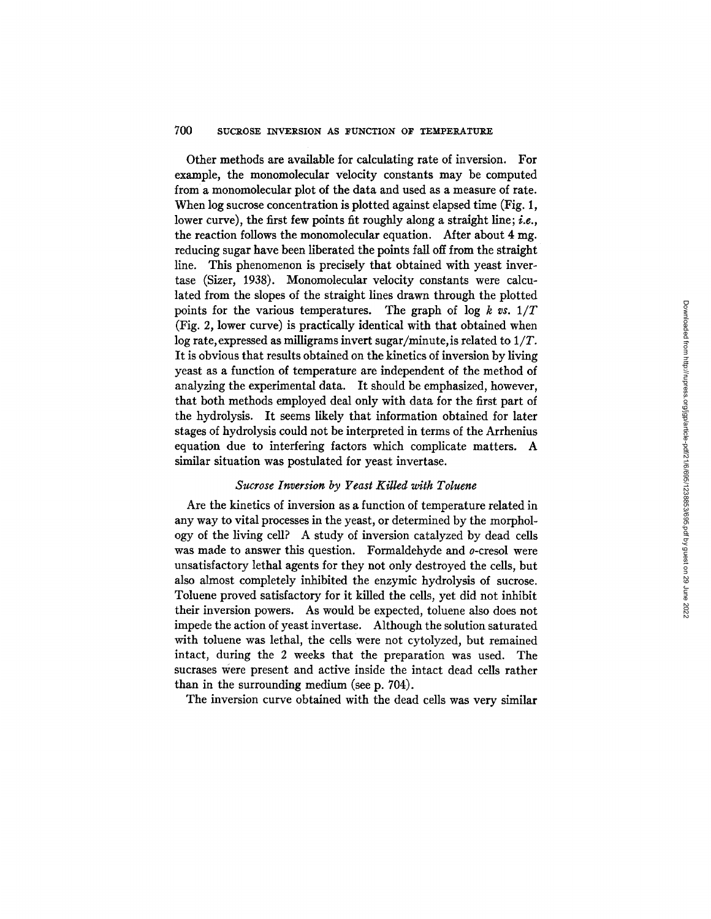# 700 SUCROSE INVERSION AS FUNCTION OF TEMPERATURE

Other methods are available for calculating rate of inversion. For example, the monomolecular velocity constants may be computed from a monomolecular plot of the data and used as a measure of rate. When log sucrose concentration is plotted against elapsed time (Fig. 1, lower curve), the first few points fit roughly along a straight line; *i.e.*, the reaction follows the monomolecular equation. After about 4 mg. reducing sugar have been liberated the points fall off from the straight line. This phenomenon is precisely that obtained with yeast invertase (Sizer, 1938). Monomolecular velocity constants were calculated from the slopes of the straight lines drawn through the plotted points for the various temperatures. The graph of log *k vs. 1/T*  (Fig. 2, lower curve) is practically identical with that obtained when log rate, expressed as milligrams invert sugar/minute, is related to *1/T.*  It is obvious that results obtained on the kinetics of inversion by living yeast as a function of temperature are independent of the method of analyzing the experimental data. It should be emphasized, however, that both methods employed deal only with data for the first part of the hydrolysis. It seems likely that information obtained for later stages of hydrolysis could not be interpreted in terms of the Arrhenius equation due to interfering factors which complicate matters. A similar situation was postulated for yeast invertase.

## *Sucrose Inversion by Yeast Killed with Toluene*

Are the kinetics of inversion as a function of temperature related in any way to vital processes in the yeast, or determined by the morphology of the living cell? A study of inversion catalyzed by dead cells was made to answer this question. Formaldehyde and o-cresol were unsatisfactory lethal agents for they not only destroyed the cells, but also almost completely inhibited the enzymic hydrolysis of sucrose. Toluene proved satisfactory for it killed the cells, yet did not inhibit their inversion powers. As would be expected, toluene also does not impede the action of yeast invertase. Although the solution saturated with toluene was lethal, the cells were not cytolyzed, but remained intact, during the 2 weeks that the preparation was used. The sucrases Were present and active inside the intact dead cells rather than in the surrounding medium (see p. 704).

The inversion curve obtained with the dead cells was very similar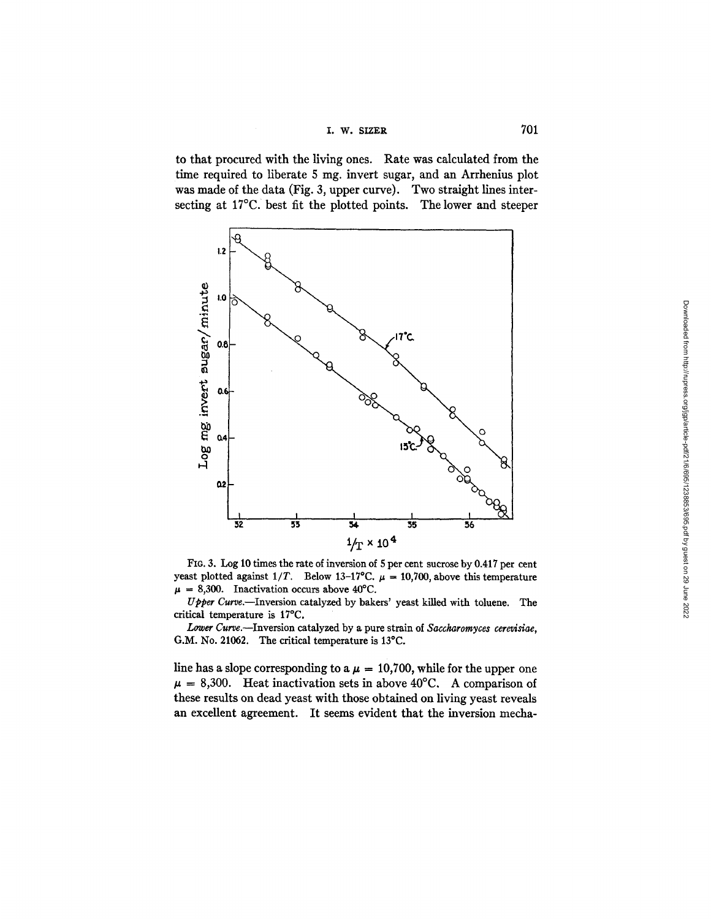$I. \tW. SLZER$  701

to that procured with the living ones. Rate was calculated from the time required to liberate 5 mg, invert sugar, and an Arrhenius plot was made of the data (Fig. 3, upper curve). Two straight lines intersecting at 17°C. best fit the plotted points. The lower and steeper



FIO. 3. Log 10 times the rate of inversion of 5 per cent sucrose by 0.417 per cent yeast plotted against  $1/T$ . Below 13-17°C.  $\mu = 10,700$ , above this temperature  $\mu = 8,300$ . Inactivation occurs above 40°C.

*Upper Curve.--Inversion* catalyzed by bakers' yeast killed with toluene. The critical temperature is 17°C.

*Lower Curve.--Inversion* catalyzed by a pure strain of *Saccharomyces cerevis'iae,*  G.M. No. 21062. The critical temperature is 13°C.

line has a slope corresponding to a  $\mu = 10,700$ , while for the upper one  $\mu = 8,300$ . Heat inactivation sets in above 40°C. A comparison of these results on dead yeast with those obtained on living yeast reveals an excellent agreement. It seems evident that the inversion mecha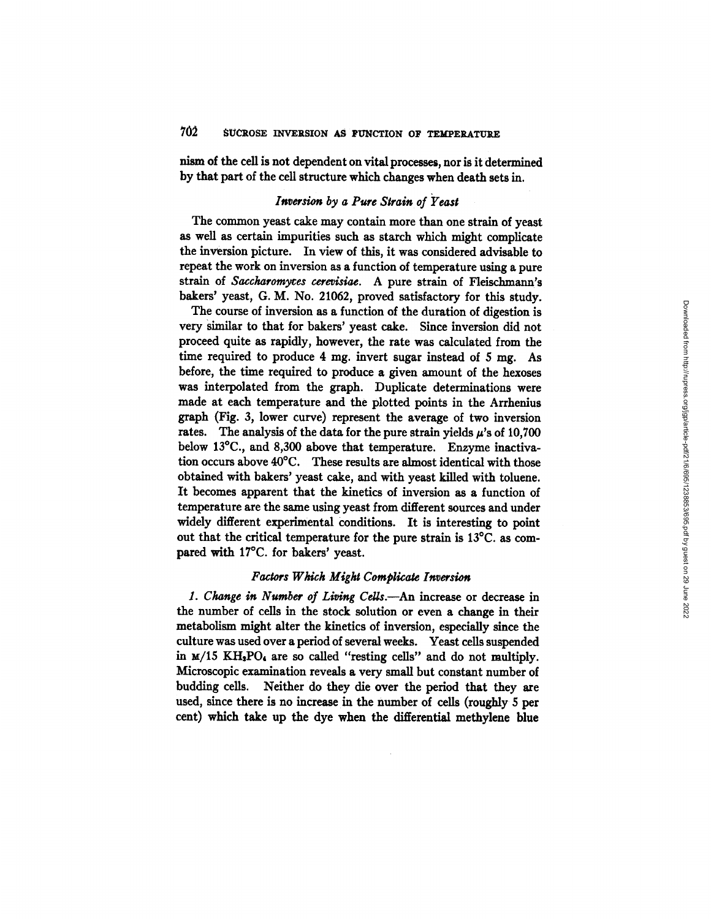nism of the cell is not dependent on vital processes, nor is it determined by that part of the cell structure which changes when death sets in.

# *Inversion by a Pure Strain of Yeast*

The common yeast cake may contain more than one strain of yeast as well as certain impurities such as starch which might complicate the inversion picture. In view of this, it was considered advisable to repeat the work on inversion as a function of temperature using a pure strain of *Saccharomyres cerevisiac.* A pure strain of Fleischmann's bakers' yeast, G. M. No. 21062, proved satisfactory for this study.

The course of inversion as a function of the duration of digestion is very Similar to that for bakers' yeast cake. Since inversion did not proceed quite as rapidly, however, the rate was calculated from the time required to produce 4 mg. invert sugar instead of 5 mg. As before, the time required to produce a given amount of the hexoses was interpolated from the graph. Duplicate determinations were made at each temperature and the plotted points in the Arrhenius graph (Fig. 3, lower curve) represent the average of two inversion rates. The analysis of the data for the pure strain yields  $\mu$ 's of 10,700 below 13°C., and 8,300 above that temperature. Enzyme inactivation occurs above 40°C. These results are almost identical with those obtained with bakers' yeast cake, and with yeast killed with toluene. It becomes apparent that the kinetics of inversion as a function of temperature are the same using yeast from different sources and under widely different experimental conditions. It is interesting to point out that the critical temperature for the pure strain is 13°C. as compared with 17°C. for bakers' yeast.

### *Factors Which Might Complicate Inversion*

1. Change in Number of Living Cells.—An increase or decrease in the number of cells in the stock solution or even a change in their metabolism might alter the kinetics of inversion, especially since the culture was used over a period of several weeks. Yeast cells suspended in  $M/15$  KH<sub>2</sub>PO<sub>4</sub> are so called "resting cells" and do not multiply. Microscopic examination reveals a very small but constant number of budding cells. Neither do they die over the period that they are used, since there is no increase in the number of cells (roughly 5 per cent) which take up the dye when the differential methylene blue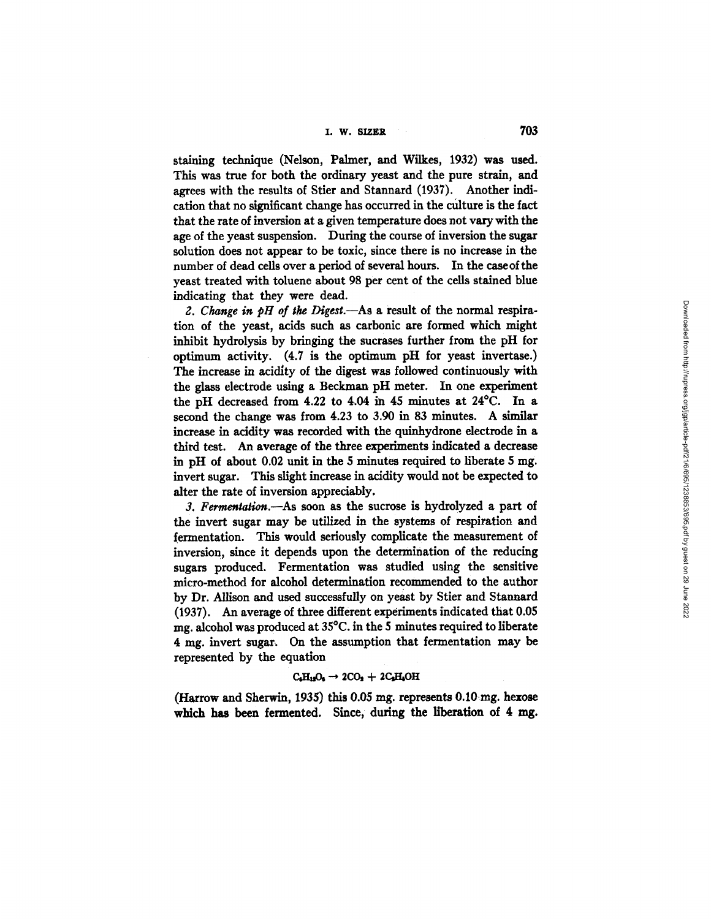staining technique (Nelson, Palmer, and Wilkes, 1932) was used. This was true for both the ordinary yeast and the pure strain, and agrees with the results of Stier and Stannard (1937). Another indication that no significant change has occurred in the culture is the fact that the rate of inversion at a given temperature does not vary with the age of the yeast suspension. During the course of inversion the sugar solution does not appear to be toxic, since there is no increase in the number of dead cells over a period of several hours. In the easeofthe yeast treated with toluene about 98 per cent of the cells stained blue indicating that they were dead.

2. Change in pH of the Digest.—As a result of the normal respiration of the yeast, acids such as carbonic are formed which might inhibit hydrolysis by bringing the sucrases further from the pH for optimum activity. (4.7 is the optimum pH for yeast invertase.) The increase in acidity of the digest was followed continuously with the glass electrode using a Beckman pH meter. In one experiment the pH decreased from 4.22 to 4.04 in 45 minutes at 24°C. In a second the change was from 4.23 to 3.90 in 83 minutes. A similar increase in acidity was recorded with the qulnhydrone electrode in a third test. An average of the three experiments indicated a decrease in  $\mu$  of about 0.02 unit in the 5 minutes required to liberate 5 mg. invert sugar. This slight increase in acidity would not be expected to alter the rate of inversion appreciably.

*3. Fermentation.--As* soon as the sucrose is hydrolyzed a part of the invert sugar may be utilized in the systems of respiration and fermentation. This would seriously complicate the measurement of inversion, since it depends upon the determination of the reducing sugars produced. Fermentation was studied using the sensitive micro-method for alcohol determination recommended to the author by Dr. Allison and used successfully on yeast by Stier and Stannard (1937). An average of three different experiments indicated that 0.05 mg. alcohol was produced at 35°C. in the 5 minutes required to liberate 4 mg. invert sugar. On the assumption that fermentation may be represented by the equation

#### $C_6H_{15}O_6 \rightarrow 2CO_2 + 2C_3H_6OH$

(Harrow and Sherwin, 1935) this  $0.05$  mg. represents  $0.10$  mg. hexose which has been fermented. Since, during the liberation of 4 mg.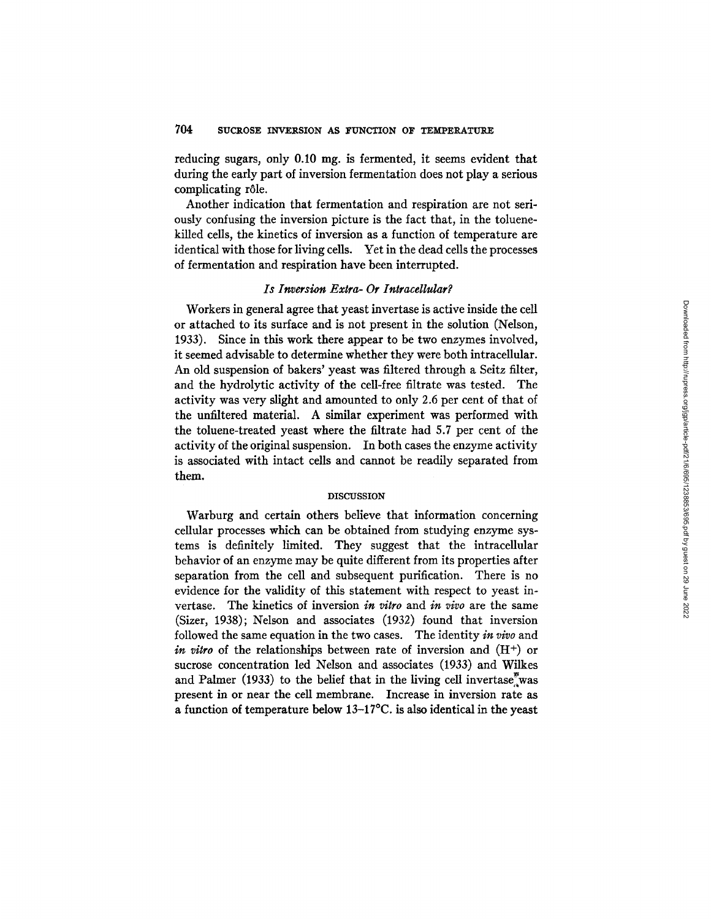reducing sugars, only 0.10 mg. is fermented, it seems evident that during the early part of inversion fermentation does not play a serious complicating rôle.

Another indication that fermentation and respiration are not seriously confusing the inversion picture is the fact that, in the toluenekilled cells, the kinetics of inversion as a function of temperature are identical with those for living cells. Yet in the dead cells the processes of fermentation and respiration have been interrupted.

# *Is Inversion Extra-Or Intracellular?*

Workers in general agree that yeast invertase is active inside the cell or attached to its surface and is not present in the solution (Nelson, 1933). Since in this work there appear to be two enzymes involved, it seemed advisable to determine whether they were both intracellular. An old suspension of bakers' yeast was filtered through a Seitz filter, and the hydrolytic activity of the cell-free filtrate was tested. The activity was very slight and amounted to only 2.6 per cent of that of the unfiltered material. A similar experiment was performed with the toluene-treated yeast where the filtrate had 5.7 per cent of the activity of the original suspension. In both cases the enzyme activity is associated with intact cells and cannot be readily separated from them.

#### DISCUSSION

Warburg and certain others believe that information concerning cellular processes which can be obtained from studying enzyme systems is definitely limited. They suggest that the intracellular behavior of an enzyme may be quite different from its properties after separation from the cell and subsequent purification. There is no evidence for the validity of this statement with respect to yeast invertase. The kinetics of inversion *in vitro* and *in vivo* are the same (Sizer, 1938); Nelson and associates (1932) found that inversion followed the same equation in the two cases. The identity *in vivo* and *in vitro* of the relationships between rate of inversion and  $(H<sup>+</sup>)$  or sucrose concentration led Nelson and associates (1933) and Wilkes and Palmer  $(1933)$  to the belief that in the living cell invertase was present in or near the cell membrane. Increase in inversion rate as a function of temperature below 13-17°C. is also identical in the yeast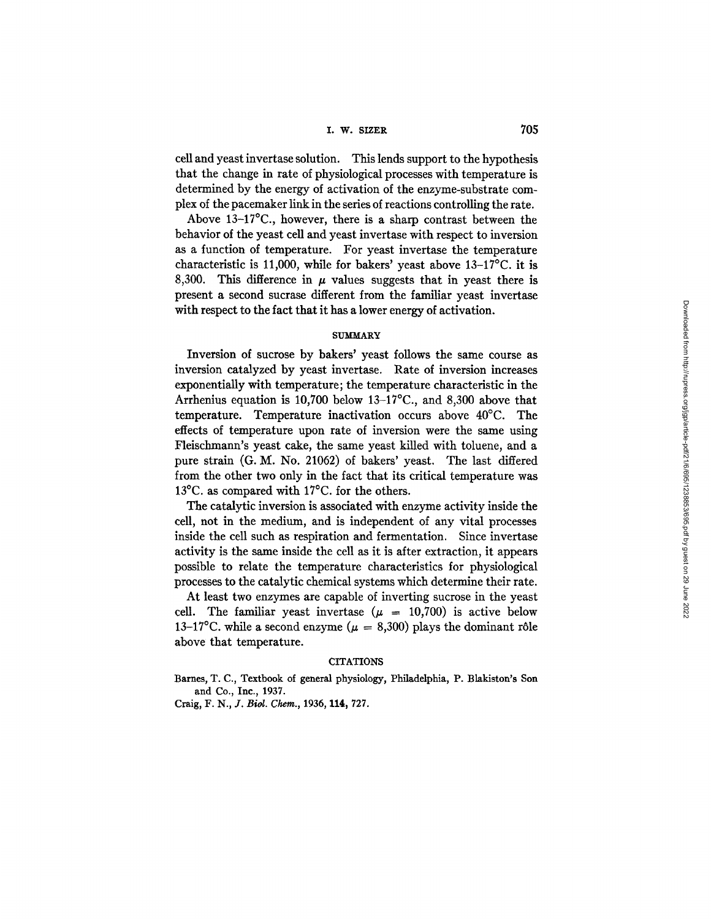### i. w. sizv.R 705

cell and yeast invertase solution. This lends support to the hypothesis that the change in rate of physiological processes with temperature is determined by the energy of activation of the enzyme-substrate complex of the pacemaker link in the series of reactions controlling the rate.

Above 13-17°C., however, there is a sharp contrast between the behavior of the yeast cell and yeast invertase with respect to inversion as a function of temperature. For yeast invertase the temperature characteristic is 11,000, while for bakers' yeast above 13-17°C. it is 8,300. This difference in  $\mu$  values suggests that in yeast there is present a second sucrase different from the familiar yeast invertase with respect to the fact that it has a lower energy of activation.

#### **SUMMARY**

Inversion of sucrose by bakers' yeast follows the same course as inversion catalyzed by yeast invertase. Rate of inversion increases exponentially with temperature; the temperature characteristic in the Arrhenius equation is 10,700 below 13-17°C., and 8,300 above that temperature. Temperature inactivation occurs above 40°C. The effects of temperature upon rate of inversion were the same using Fleischmann's yeast cake, the same yeast killed with toluene, and a pure strain (G. M. No. 21062) of bakers' yeast. The last differed from the other two only in the fact that its critical temperature was 13°C. as compared with 17°C. for the others.

The catalytic inversion is associated with enzyme activity inside the cell, not in the medium, and is independent of any vital processes inside the cell such as respiration and fermentation. Since invertase activity is the same inside the cell as it is after extraction, it appears possible to relate the temperature characteristics for physiological processes to the catalytic chemical systems which determine their rate.

At least two enzymes are capable of inverting sucrose in the yeast cell. The familiar yeast invertase  $(\mu = 10,700)$  is active below 13-17°C. while a second enzyme ( $\mu = 8,300$ ) plays the dominant rôle above that temperature.

### **CITATIONS**

Barnes, T. C., Textbook of general physiology, Philadelphia, P. Blakiston's Son **and** Co., Inc., 1937.

Craig, F. N., *J. Biol. Chem.,* 1936, 114, 727.